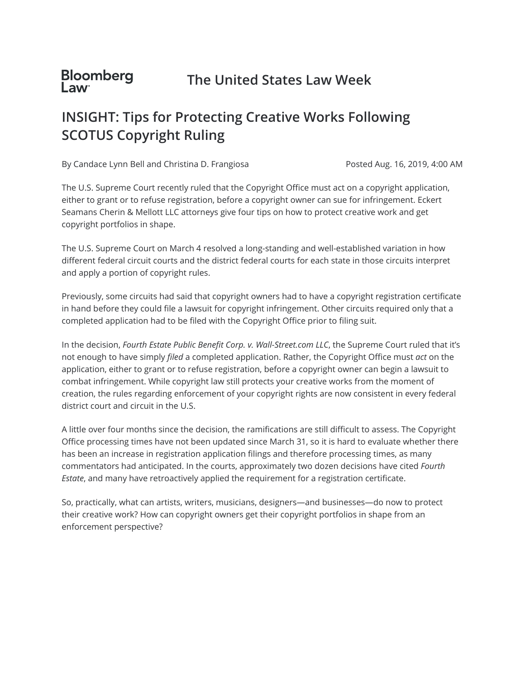#### **Bloomberg The United States Law Week Law**

# **INSIGHT: Tips for Protecting Creative Works Following SCOTUS Copyright Ruling**

By Candace Lynn Bell and Christina D. Frangiosa

Posted Aug. 16, 2019, 4:00 AM

The U.S. Supreme Court recently ruled that the Copyright Office must act on a copyright application, either to grant or to refuse registration, before a copyright owner can sue for infringement. Eckert Seamans Cherin & Mellott LLC attorneys give four tips on how to protect creative work and get copyright portfolios in shape.

The U.S. Supreme Court on March 4 resolved a long-standing and well-established variation in how different federal circuit courts and the district federal courts for each state in those circuits interpret and apply a portion of copyright rules.

Previously, some circuits had said that copyright owners had to have a copyright registration certificate in hand before they could file a lawsuit for copyright infringement. Other circuits required only that a completed application had to be filed with the Copyright Office prior to filing suit.

In the decision, *Fourth Estate Public Benefit Corp. v. Wall-Street.com LLC*, the Supreme Court ruled that it's not enough to have simply *filed* a completed application. Rather, the Copyright Office must *act* on the application, either to grant or to refuse registration, before a copyright owner can begin a lawsuit to combat infringement. While copyright law still protects your creative works from the moment of creation, the rules regarding enforcement of your copyright rights are now consistent in every federal district court and circuit in the U.S.

A little over four months since the decision, the ramifications are still difficult to assess. The Copyright Office processing times have not been updated since March 31, so it is hard to evaluate whether there has been an increase in registration application filings and therefore processing times, as many commentators had anticipated. In the courts, approximately two dozen decisions have cited *Fourth Estate*, and many have retroactively applied the requirement for a registration certificate.

So, practically, what can artists, writers, musicians, designers—and businesses—do now to protect their creative work? How can copyright owners get their copyright portfolios in shape from an enforcement perspective?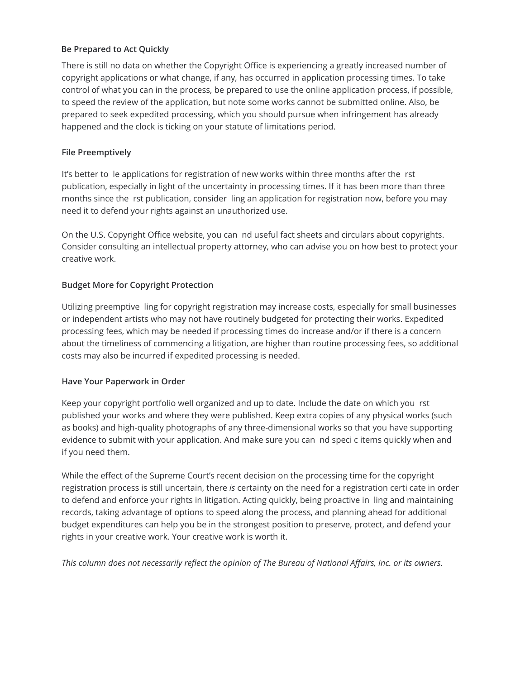## **Be Prepared to Act Quickly**

There is still no data on whether the Copyright Office is experiencing a greatly increased number of copyright applications or what change, if any, has occurred in application processing times. To take control of what you can in the process, be prepared to use the online application process, if possible, to speed the review of the application, but note some works cannot be submitted online. Also, be prepared to seek expedited processing, which you should pursue when infringement has already happened and the clock is ticking on your statute of limitations period.

## **File Preemptively**

It's better to le applications for registration of new works within three months after the rst publication, especially in light of the uncertainty in processing times. If it has been more than three months since the rst publication, consider ling an application for registration now, before you may need it to defend your rights against an unauthorized use.

On the U.S. Copyright Office website, you can nd useful fact sheets and circulars about copyrights. Consider consulting an intellectual property attorney, who can advise you on how best to protect your creative work.

## **Budget More for Copyright Protection**

Utilizing preemptive ling for copyright registration may increase costs, especially for small businesses or independent artists who may not have routinely budgeted for protecting their works. Expedited processing fees, which may be needed if processing times do increase and/or if there is a concern about the timeliness of commencing a litigation, are higher than routine processing fees, so additional costs may also be incurred if expedited processing is needed.

#### **Have Your Paperwork in Order**

Keep your copyright portfolio well organized and up to date. Include the date on which you rst published your works and where they were published. Keep extra copies of any physical works (such as books) and high-quality photographs of any three-dimensional works so that you have supporting evidence to submit with your application. And make sure you can nd speci c items quickly when and if you need them.

While the effect of the Supreme Court's recent decision on the processing time for the copyright registration process is still uncertain, there *is* certainty on the need for a registration certi cate in order to defend and enforce your rights in litigation. Acting quickly, being proactive in ling and maintaining records, taking advantage of options to speed along the process, and planning ahead for additional budget expenditures can help you be in the strongest position to preserve, protect, and defend your rights in your creative work. Your creative work is worth it.

*This column does not necessarily reflect the opinion of The Bureau of National Affairs, Inc. or its owners.*